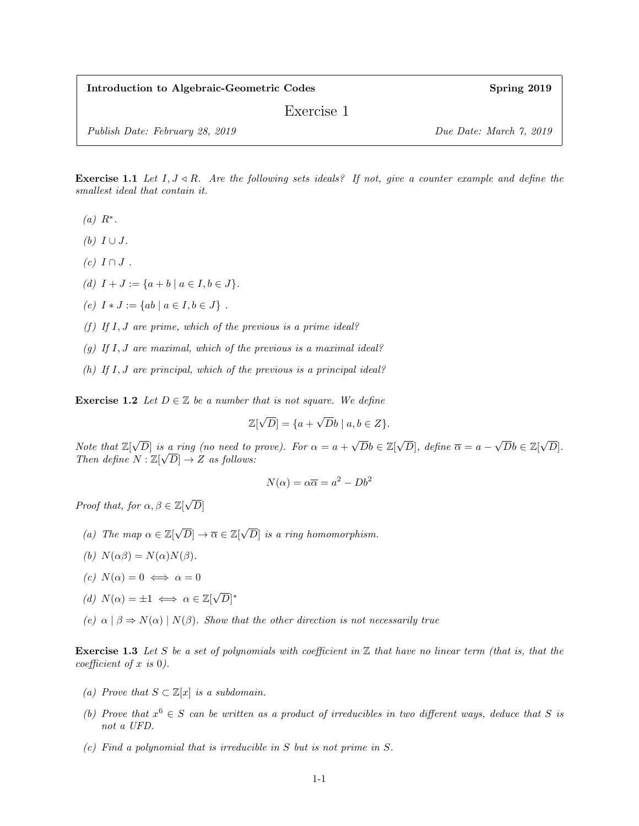Introduction to Algebraic-Geometric Codes Spring 2019

Exercise 1

Publish Date: February 28, 2019 Due Date: March 7, 2019

**Exercise 1.1** Let  $I, J \triangleleft R$ . Are the following sets ideals? If not, give a counter example and define the smallest ideal that contain it.

- $(a)$   $R^*$ .
- (b)  $I \cup J$ .
- $(c)$   $I \cap J$ .
- (d)  $I + J := \{a + b \mid a \in I, b \in J\}.$
- (e)  $I * J := \{ ab \mid a \in I, b \in J \}$ .
- (f) If  $I, J$  are prime, which of the previous is a prime ideal?
- (g) If  $I, J$  are maximal, which of the previous is a maximal ideal?
- (h) If  $I, J$  are principal, which of the previous is a principal ideal?

**Exercise 1.2** Let  $D \in \mathbb{Z}$  be a number that is not square. We define

$$
\mathbb{Z}[\sqrt{D}] = \{a + \sqrt{D}b \mid a, b \in Z\}.
$$

Note that  $\mathbb{Z}[\sqrt{2}]$  $[D]$  is a ring (no need to prove). For  $\alpha = a +$  $\sqrt{D}b \in \mathbb{Z}[\sqrt{D}]$ D], define  $\overline{\alpha} = a \sqrt{D}b \in \mathbb{Z}[\sqrt{D}]$ s a ring (no need to prove). For  $\alpha = a + \sqrt{Db} \in \mathbb{Z}[\sqrt{D}]$ , define  $\overline{\alpha} = a - \sqrt{Db} \in \mathbb{Z}[\sqrt{D}]$ . Then define  $N : \mathbb{Z}[\sqrt{D}] \to Z$  as follows:

$$
N(\alpha) = \alpha \overline{\alpha} = a^2 - Db^2
$$

Proof that, for  $\alpha, \beta \in \mathbb{Z}[\sqrt{\frac{\beta}{\alpha}}]$  $\left\vert D\right\vert$ 

- (a) The map  $\alpha \in \mathbb{Z}[\sqrt{D}] \to \overline{\alpha} \in \mathbb{Z}[\sqrt{D}]$ D] is a ring homomorphism.
- (b)  $N(\alpha\beta) = N(\alpha)N(\beta)$ .
- (c)  $N(\alpha) = 0 \iff \alpha = 0$
- (d)  $N(\alpha) = \pm 1 \iff \alpha \in \mathbb{Z}[\sqrt{\alpha}]$  $\overline{D}|^*$
- (e)  $\alpha | \beta \Rightarrow N(\alpha) | N(\beta)$ . Show that the other direction is not necessarily true

**Exercise 1.3** Let S be a set of polynomials with coefficient in  $\mathbb{Z}$  that have no linear term (that is, that the coefficient of  $x$  is  $0$ ).

- (a) Prove that  $S \subset \mathbb{Z}[x]$  is a subdomain.
- (b) Prove that  $x^6 \in S$  can be written as a product of irreducibles in two different ways, deduce that S is not a UFD.
- (c) Find a polynomial that is irreducible in S but is not prime in S.